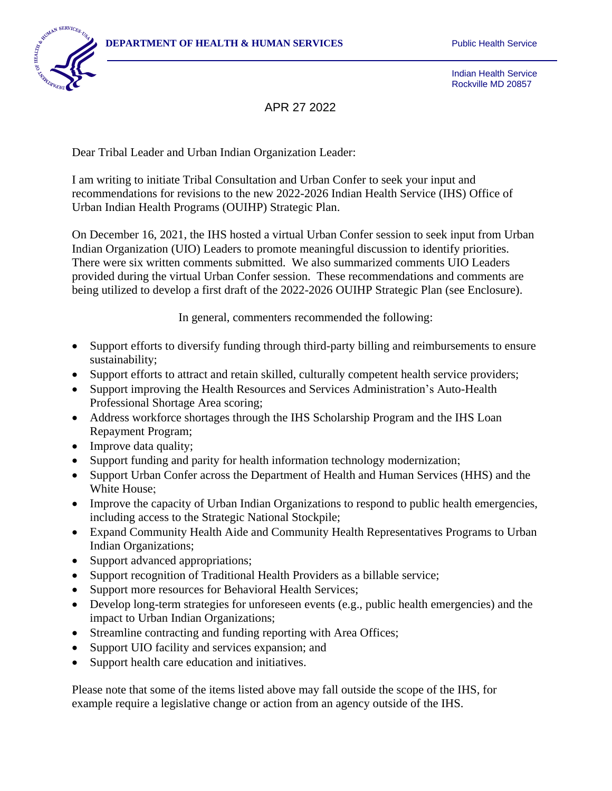

Indian Health Service Rockville MD 20857

APR 27 2022

Dear Tribal Leader and Urban Indian Organization Leader:

I am writing to initiate Tribal Consultation and Urban Confer to seek your input and recommendations for revisions to the new 2022-2026 Indian Health Service (IHS) Office of Urban Indian Health Programs (OUIHP) Strategic Plan.

On December 16, 2021, the IHS hosted a virtual Urban Confer session to seek input from Urban Indian Organization (UIO) Leaders to promote meaningful discussion to identify priorities. There were six written comments submitted. We also summarized comments UIO Leaders provided during the virtual Urban Confer session. These recommendations and comments are being utilized to develop a first draft of the 2022-2026 OUIHP Strategic Plan (see Enclosure).

In general, commenters recommended the following:

- Support efforts to diversify funding through third-party billing and reimbursements to ensure sustainability;
- Support efforts to attract and retain skilled, culturally competent health service providers;
- Support improving the Health Resources and Services Administration's Auto-Health Professional Shortage Area scoring;
- Address workforce shortages through the IHS Scholarship Program and the IHS Loan Repayment Program;
- Improve data quality;
- Support funding and parity for health information technology modernization;
- Support Urban Confer across the Department of Health and Human Services (HHS) and the White House;
- Improve the capacity of Urban Indian Organizations to respond to public health emergencies, including access to the Strategic National Stockpile;
- Expand Community Health Aide and Community Health Representatives Programs to Urban Indian Organizations;
- Support advanced appropriations;
- Support recognition of Traditional Health Providers as a billable service;
- Support more resources for Behavioral Health Services;
- Develop long-term strategies for unforeseen events (e.g., public health emergencies) and the impact to Urban Indian Organizations;
- Streamline contracting and funding reporting with Area Offices;
- Support UIO facility and services expansion; and
- Support health care education and initiatives.

Please note that some of the items listed above may fall outside the scope of the IHS, for example require a legislative change or action from an agency outside of the IHS.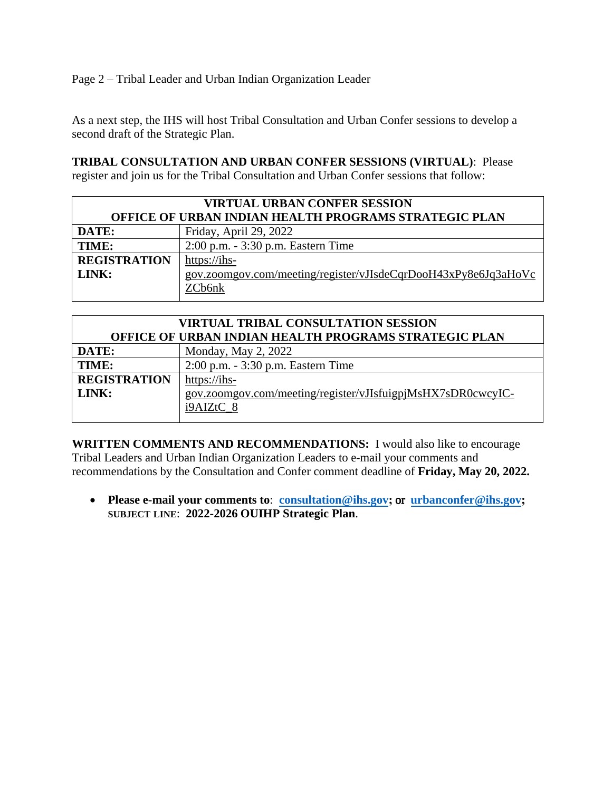Page 2 – Tribal Leader and Urban Indian Organization Leader

As a next step, the IHS will host Tribal Consultation and Urban Confer sessions to develop a second draft of the Strategic Plan.

**TRIBAL CONSULTATION AND URBAN CONFER SESSIONS (VIRTUAL)**: Please register and join us for the Tribal Consultation and Urban Confer sessions that follow:

| <b>VIRTUAL URBAN CONFER SESSION</b>                          |                                                                |
|--------------------------------------------------------------|----------------------------------------------------------------|
| <b>OFFICE OF URBAN INDIAN HEALTH PROGRAMS STRATEGIC PLAN</b> |                                                                |
| DATE:                                                        | Friday, April 29, 2022                                         |
| TIME:                                                        | 2:00 p.m. - 3:30 p.m. Eastern Time                             |
| <b>REGISTRATION</b>                                          | https://ihs-                                                   |
| LINK:                                                        | gov.zoomgov.com/meeting/register/vJIsdeCqrDooH43xPy8e6Jq3aHoVc |
|                                                              | ZCb6nk                                                         |

| <b>VIRTUAL TRIBAL CONSULTATION SESSION</b>                   |  |
|--------------------------------------------------------------|--|
| <b>OFFICE OF URBAN INDIAN HEALTH PROGRAMS STRATEGIC PLAN</b> |  |
| Monday, May 2, 2022                                          |  |
| 2:00 p.m. - 3:30 p.m. Eastern Time                           |  |
| https://ihs-                                                 |  |
| gov.zoomgov.com/meeting/register/vJIsfuigpjMsHX7sDR0cwcyIC-  |  |
| i9AIZtC 8                                                    |  |
|                                                              |  |

**WRITTEN COMMENTS AND RECOMMENDATIONS:** I would also like to encourage Tribal Leaders and Urban Indian Organization Leaders to e-mail your comments and recommendations by the Consultation and Confer comment deadline of **Friday, May 20, 2022.**

• **Please e-mail your comments to**: **[consultation@ihs.gov](mailto:consultation@ihs.gov);** or **[urbanconfer@ihs.gov](mailto:consultation@ihs.gov)[;](mailto:urbanconfer@ihs.gov;) SUBJECT LINE**: **2022-2026 OUIHP Strategic Plan**.